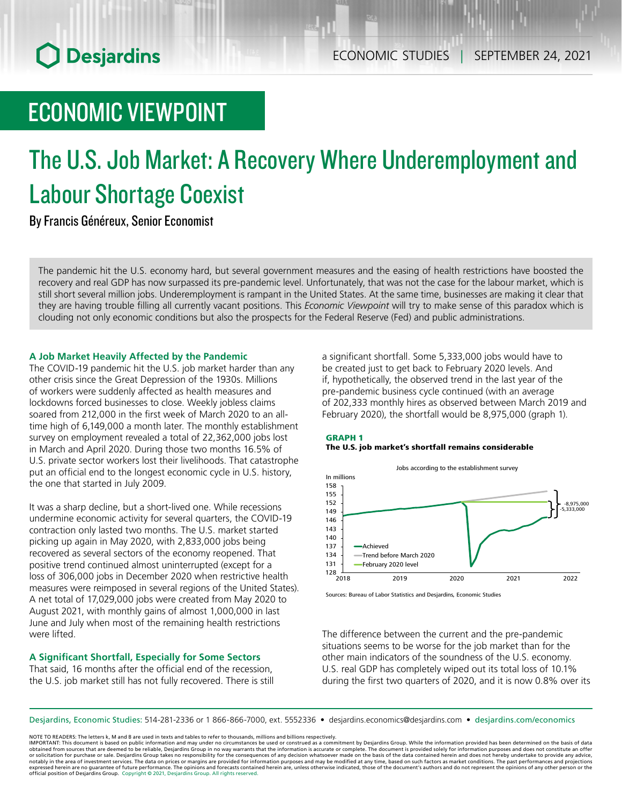# ECONOMIC VIEWPOINT

# The U.S. Job Market: A Recovery Where Underemployment and Labour Shortage Coexist

By Francis Généreux, Senior Economist

The pandemic hit the U.S. economy hard, but several government measures and the easing of health restrictions have boosted the recovery and real GDP has now surpassed its pre-pandemic level. Unfortunately, that was not the case for the labour market, which is still short several million jobs. Underemployment is rampant in the United States. At the same time, businesses are making it clear that they are having trouble filling all currently vacant positions. This *Economic Viewpoint* will try to make sense of this paradox which is clouding not only economic conditions but also the prospects for the Federal Reserve (Fed) and public administrations.

# **A Job Market Heavily Affected by the Pandemic**

The COVID-19 pandemic hit the U.S. job market harder than any other crisis since the Great Depression of the 1930s. Millions of workers were suddenly affected as health measures and lockdowns forced businesses to close. Weekly jobless claims soared from 212,000 in the first week of March 2020 to an alltime high of 6,149,000 a month later. The monthly establishment survey on employment revealed a total of 22,362,000 jobs lost in March and April 2020. During those two months 16.5% of U.S. private sector workers lost their livelihoods. That catastrophe put an official end to the longest economic cycle in U.S. history, the one that started in July 2009.

It was a sharp decline, but a short-lived one. While recessions undermine economic activity for several quarters, the COVID-19 contraction only lasted two months. The U.S. market started picking up again in May 2020, with 2,833,000 jobs being recovered as several sectors of the economy reopened. That positive trend continued almost uninterrupted (except for a loss of 306,000 jobs in December 2020 when restrictive health measures were reimposed in several regions of the United States). A net total of 17,029,000 jobs were created from May 2020 to August 2021, with monthly gains of almost 1,000,000 in last June and July when most of the remaining health restrictions were lifted.

# **A Significant Shortfall, Especially for Some Sectors**

That said, 16 months after the official end of the recession, the U.S. job market still has not fully recovered. There is still a significant shortfall. Some 5,333,000 jobs would have to be created just to get back to February 2020 levels. And if, hypothetically, the observed trend in the last year of the pre-pandemic business cycle continued (with an average of 202,333 monthly hires as observed between March 2019 and February 2020), the shortfall would be 8,975,000 (graph 1).

# GRAPH 1 The U.S. job market's shortfall remains considerable



Sources: Bureau of Labor Statistics and Desjardins, Economic Studies

The difference between the current and the pre-pandemic situations seems to be worse for the job market than for the other main indicators of the soundness of the U.S. economy. U.S. real GDP has completely wiped out its total loss of 10.1% during the first two quarters of 2020, and it is now 0.8% over its

Desjardins, Economic Studies: 514‑281‑2336 or 1 866‑866‑7000, ext. 5552336 • desjardins.economics@desjardins.com • [desjardins.com/economics](http://desjardins.com/economics)

NOTE TO READERS: The letters k, M and B are used in texts and tables to refer to thousands, millions and billions respectively.

IMPORTANT: This document is based on public information and may under no circumstances be used or construed as a commitment by Desjardins Group. While the information provided has been determined on the basis of data<br>obtai notably in the area of investment services. The data on prices or margins are provided for information purposes and may be modified at any time, based on such factors as market conditions. The past performances and project expressed herein are no guarantee of future performance. The opinions and forecasts contained herein are, unless otherwise indicated, those of the document's authors and do not represent the opinions of any other person or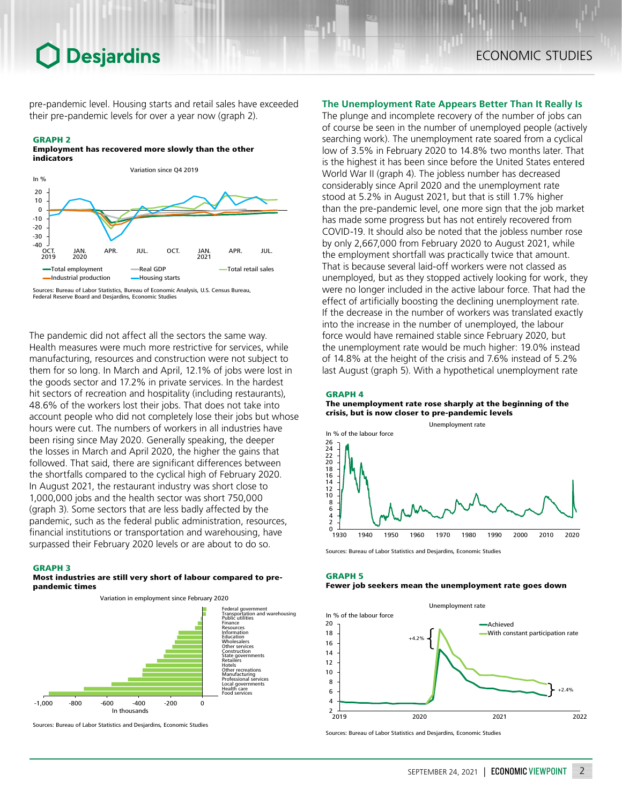pre-pandemic level. Housing starts and retail sales have exceeded their pre-pandemic levels for over a year now (graph 2).

# GRAPH 2

Employment has recovered more slowly than the other indicators



Sources: Bureau of Labor Statistics, Bureau of Economic Analysis, U.S. Census Bureau, Federal Reserve Board and Desjardins, Economic Studies

The pandemic did not affect all the sectors the same way. Health measures were much more restrictive for services, while manufacturing, resources and construction were not subject to them for so long. In March and April, 12.1% of jobs were lost in the goods sector and 17.2% in private services. In the hardest hit sectors of recreation and hospitality (including restaurants), 48.6% of the workers lost their jobs. That does not take into account people who did not completely lose their jobs but whose hours were cut. The numbers of workers in all industries have been rising since May 2020. Generally speaking, the deeper the losses in March and April 2020, the higher the gains that followed. That said, there are significant differences between the shortfalls compared to the cyclical high of February 2020. In August 2021, the restaurant industry was short close to 1,000,000 jobs and the health sector was short 750,000 (graph 3). Some sectors that are less badly affected by the pandemic, such as the federal public administration, resources, financial institutions or transportation and warehousing, have surpassed their February 2020 levels or are about to do so.

#### GRAPH 3

### Most industries are still very short of labour compared to prepandemic times





Sources: Bureau of Labor Statistics and Desjardins, Economic Studies

# **The Unemployment Rate Appears Better Than It Really Is**

The plunge and incomplete recovery of the number of jobs can of course be seen in the number of unemployed people (actively searching work). The unemployment rate soared from a cyclical low of 3.5% in February 2020 to 14.8% two months later. That is the highest it has been since before the United States entered World War II (graph 4). The jobless number has decreased considerably since April 2020 and the unemployment rate stood at 5.2% in August 2021, but that is still 1.7% higher than the pre-pandemic level, one more sign that the job market has made some progress but has not entirely recovered from COVID‑19. It should also be noted that the jobless number rose by only 2,667,000 from February 2020 to August 2021, while the employment shortfall was practically twice that amount. That is because several laid-off workers were not classed as unemployed, but as they stopped actively looking for work, they were no longer included in the active labour force. That had the effect of artificially boosting the declining unemployment rate. If the decrease in the number of workers was translated exactly into the increase in the number of unemployed, the labour force would have remained stable since February 2020, but the unemployment rate would be much higher: 19.0% instead of 14.8% at the height of the crisis and 7.6% instead of 5.2% last August (graph 5). With a hypothetical unemployment rate

## GRAPH 4

The unemployment rate rose sharply at the beginning of the crisis, but is now closer to pre-pandemic levels



Sources: Bureau of Labor Statistics and Desjardins, Economic Studies

# GRAPH 5

### Fewer job seekers mean the unemployment rate goes down



Sources: Bureau of Labor Statistics and Desjardins, Economic Studies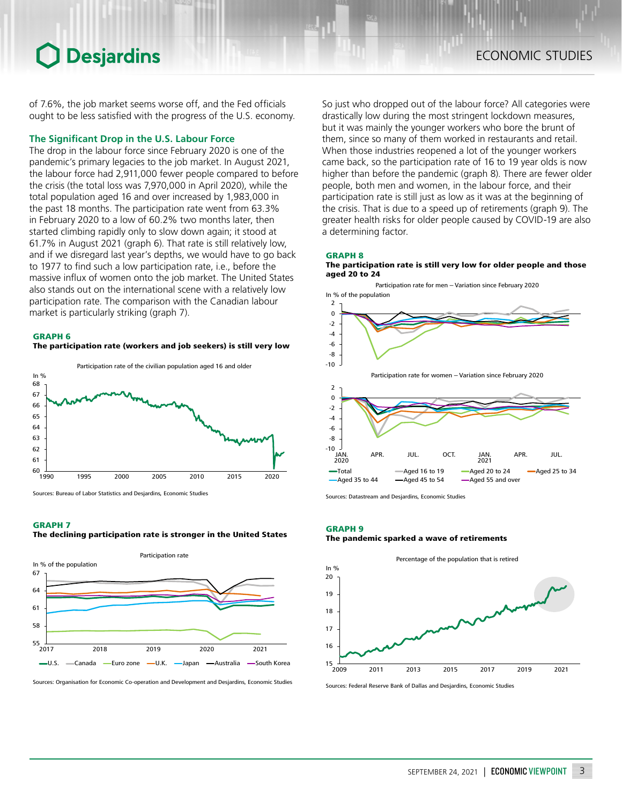of 7.6%, the job market seems worse off, and the Fed officials ought to be less satisfied with the progress of the U.S. economy.

# **The Significant Drop in the U.S. Labour Force**

The drop in the labour force since February 2020 is one of the pandemic's primary legacies to the job market. In August 2021, the labour force had 2,911,000 fewer people compared to before the crisis (the total loss was 7,970,000 in April 2020), while the total population aged 16 and over increased by 1,983,000 in the past 18 months. The participation rate went from 63.3% in February 2020 to a low of 60.2% two months later, then started climbing rapidly only to slow down again; it stood at 61.7% in August 2021 (graph 6). That rate is still relatively low, and if we disregard last year's depths, we would have to go back to 1977 to find such a low participation rate, i.e., before the massive influx of women onto the job market. The United States also stands out on the international scene with a relatively low participation rate. The comparison with the Canadian labour market is particularly striking (graph 7).

#### GRAPH 6

The participation rate (workers and job seekers) is still very low



Sources: Bureau of Labor Statistics and Desjardins, Economic Studies

## GRAPH 7 The declining participation rate is stronger in the United States



Sources: Organisation for Economic Co-operation and Development and Desjardins, Economic Studies

So just who dropped out of the labour force? All categories were drastically low during the most stringent lockdown measures, but it was mainly the younger workers who bore the brunt of them, since so many of them worked in restaurants and retail. When those industries reopened a lot of the younger workers came back, so the participation rate of 16 to 19 year olds is now higher than before the pandemic (graph 8). There are fewer older people, both men and women, in the labour force, and their participation rate is still just as low as it was at the beginning of the crisis. That is due to a speed up of retirements (graph 9). The greater health risks for older people caused by COVID‑19 are also a determining factor.

#### GRAPH 8





Sources: Datastream and Desjardins, Economic Studies

#### GRAPH 9

#### The pandemic sparked a wave of retirements



Sources: Federal Reserve Bank of Dallas and Desjardins, Economic Studies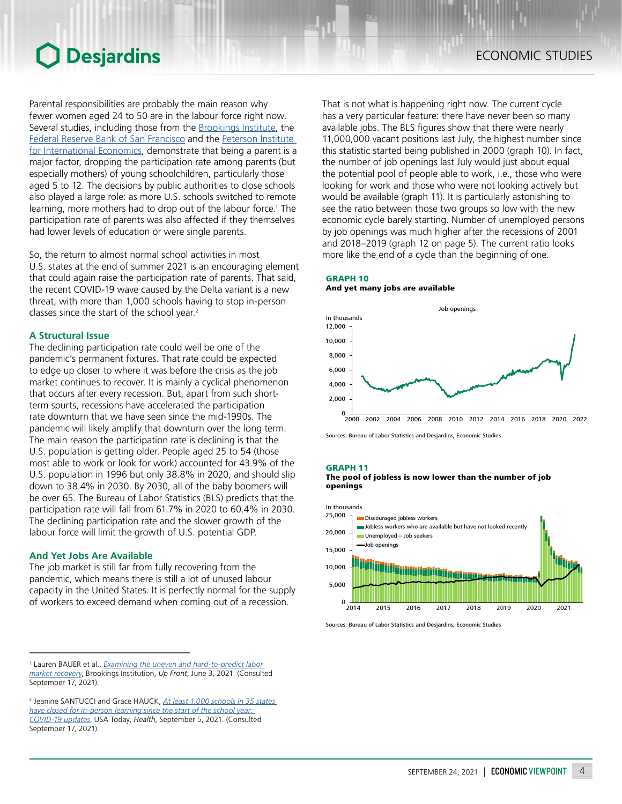Parental responsibilities are probably the main reason why fewer women aged 24 to 50 are in the labour force right now. Several studies, including those from the **[Brookings](https://www.brookings.edu/blog/up-front/2021/05/06/mothers-are-being-left-behind-in-the-economic-recovery-from-covid-19/) Institute**, the Federal Reserve [Bank of San](https://www.frbsf.org/economic-research/files/wp2021-04.pdf) Francisco and the Peterson Institute [for International](https://www.piie.com/sites/default/files/documents/wp21-8.pdf) Economics, demonstrate that being a parent is a major factor, dropping the participation rate among parents (but especially mothers) of young schoolchildren, particularly those aged 5 to 12. The decisions by public authorities to close schools also played a large role: as more U.S. schools switched to remote learning, more mothers had to drop out of the labour force.<sup>1</sup> The participation rate of parents was also affected if they themselves had lower levels of education or were single parents.

So, the return to almost normal school activities in most U.S. states at the end of summer 2021 is an encouraging element that could again raise the participation rate of parents. That said, the recent COVID-19 wave caused by the Delta variant is a new threat, with more than 1,000 schools having to stop in-person classes since the start of the school year.2

# **A Structural Issue**

The declining participation rate could well be one of the pandemic's permanent fixtures. That rate could be expected to edge up closer to where it was before the crisis as the job market continues to recover. It is mainly a cyclical phenomenon that occurs after every recession. But, apart from such shortterm spurts, recessions have accelerated the participation rate downturn that we have seen since the mid-1990s. The pandemic will likely amplify that downturn over the long term. The main reason the participation rate is declining is that the U.S. population is getting older. People aged 25 to 54 (those most able to work or look for work) accounted for 43.9% of the U.S. population in 1996 but only 38.8% in 2020, and should slip down to 38.4% in 2030. By 2030, all of the baby boomers will be over 65. The Bureau of Labor Statistics (BLS) predicts that the participation rate will fall from 61.7% in 2020 to 60.4% in 2030. The declining participation rate and the slower growth of the labour force will limit the growth of U.S. potential GDP.

# **And Yet Jobs Are Available**

The job market is still far from fully recovering from the pandemic, which means there is still a lot of unused labour capacity in the United States. It is perfectly normal for the supply of workers to exceed demand when coming out of a recession.

That is not what is happening right now. The current cycle has a very particular feature: there have never been so many available jobs. The BLS figures show that there were nearly 11,000,000 vacant positions last July, the highest number since this statistic started being published in 2000 (graph 10). In fact, the number of job openings last July would just about equal the potential pool of people able to work, i.e., those who were looking for work and those who were not looking actively but would be available (graph 11). It is particularly astonishing to see the ratio between those two groups so low with the new economic cycle barely starting. Number of unemployed persons by job openings was much higher after the recessions of 2001 and 2018–2019 (graph 12 on page 5). The current ratio looks more like the end of a cycle than the beginning of one.

# GRAPH 10 And yet many jobs are available



Sources: Bureau of Labor Statistics and Desjardins, Economic Studies

# GRAPH 11



 $0\frac{1}{2014}$ 5,000 10,000 15,000 20,000 25,000 2014 2015 2016 2017 2018 2019 2020 2021 Discouraged jobless workers Jobless workers who are available but have not looked recently Unemployed – Job seekers Job openings In thousands

Sources: Bureau of Labor Statistics and Desjardins, Economic Studies

<sup>1</sup> Lauren BAUER et al., *[Examining the uneven and hard-to-predict labor](https://www.brookings.edu/blog/up-front/2021/06/03/examining-the-uneven-and-hard-to-predict-labor-market-recovery/)  [market recovery](https://www.brookings.edu/blog/up-front/2021/06/03/examining-the-uneven-and-hard-to-predict-labor-market-recovery/)*, Brookings Institution, *Up Front*, June 3, 2021. (Consulted September 17, 2021).

<sup>2</sup> Jeanine SANTUCCI and Grace HAUCK, *[At least 1,000](https://www.usatoday.com/story/news/health/2021/09/05/covid-updates-mu-variant-spreads-hawaii-begs-travelers-stay-away/5735064001/) schools in 35 states [have closed for in-person learning since the start of the school year:](https://www.usatoday.com/story/news/health/2021/09/05/covid-updates-mu-variant-spreads-hawaii-begs-travelers-stay-away/5735064001/)  [COVID-19](https://www.usatoday.com/story/news/health/2021/09/05/covid-updates-mu-variant-spreads-hawaii-begs-travelers-stay-away/5735064001/) updates*, USA Today, *Health*, September 5, 2021. (Consulted September 17, 2021).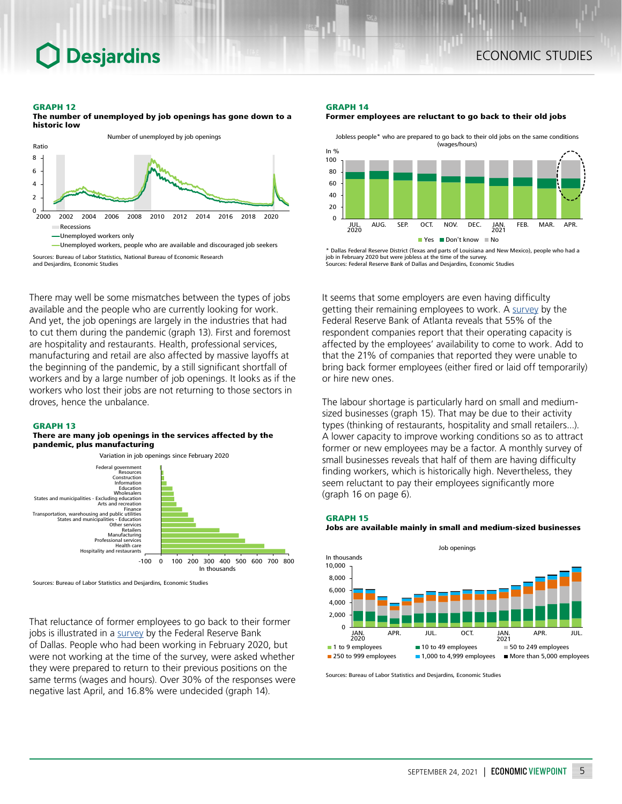#### GRAPH 12

The number of unemployed by job openings has gone down to a historic low

**Desjardins** 



Sources: Bureau of Labor Statistics, National Bureau of Economic Research

and Desjardins, Economic Studies

There may well be some mismatches between the types of jobs available and the people who are currently looking for work. And yet, the job openings are largely in the industries that had to cut them during the pandemic (graph 13). First and foremost are hospitality and restaurants. Health, professional services, manufacturing and retail are also affected by massive layoffs at the beginning of the pandemic, by a still significant shortfall of workers and by a large number of job openings. It looks as if the workers who lost their jobs are not returning to those sectors in droves, hence the unbalance.

#### GRAPH 13

#### There are many job openings in the services affected by the pandemic, plus manufacturing



Sources: Bureau of Labor Statistics and Desjardins, Economic Studies

That reluctance of former employees to go back to their former jobs is illustrated in a [survey](https://www.dallasfed.org/research/economics/2021/0527) by the Federal Reserve Bank of Dallas. People who had been working in February 2020, but were not working at the time of the survey, were asked whether they were prepared to return to their previous positions on the same terms (wages and hours). Over 30% of the responses were negative last April, and 16.8% were undecided (graph 14).

#### GRAPH 14



Jobless people\* who are prepared to go back to their old jobs on the same conditions (wages/hours) In  $\%$  $\Omega$ 20 40 60 80 100 JUL. AUG. SEP. OCT. NOV. DEC. JAN. FEB. MAR. APR.  $\blacksquare$  Yes  $\blacksquare$  Don't know  $\blacksquare$  No 2020 2021

\* Dallas Federal Reserve District (Texas and parts of Louisiana and New Mexico), people who had a job in February 2020 but were jobless at the Sources: Federal Reserve Bank of Dallas and Desjardins, Economic Studies

It seems that some employers are even having difficulty getting their remaining employees to work. A [survey](https://www.atlantafed.org/research/inflationproject/bie/special-questions.aspx) by the Federal Reserve Bank of Atlanta reveals that 55% of the respondent companies report that their operating capacity is affected by the employees' availability to come to work. Add to that the 21% of companies that reported they were unable to bring back former employees (either fired or laid off temporarily) or hire new ones.

The labour shortage is particularly hard on small and mediumsized businesses (graph 15). That may be due to their activity types (thinking of restaurants, hospitality and small retailers...). A lower capacity to improve working conditions so as to attract former or new employees may be a factor. A monthly survey of small businesses reveals that half of them are having difficulty finding workers, which is historically high. Nevertheless, they seem reluctant to pay their employees significantly more (graph 16 on page 6).



**250 to 999 employees 1,000 to 4,999 employees**  $\blacksquare$  **More than 5,000 employees** 

Sources: Bureau of Labor Statistics and Desjardins, Economic Studies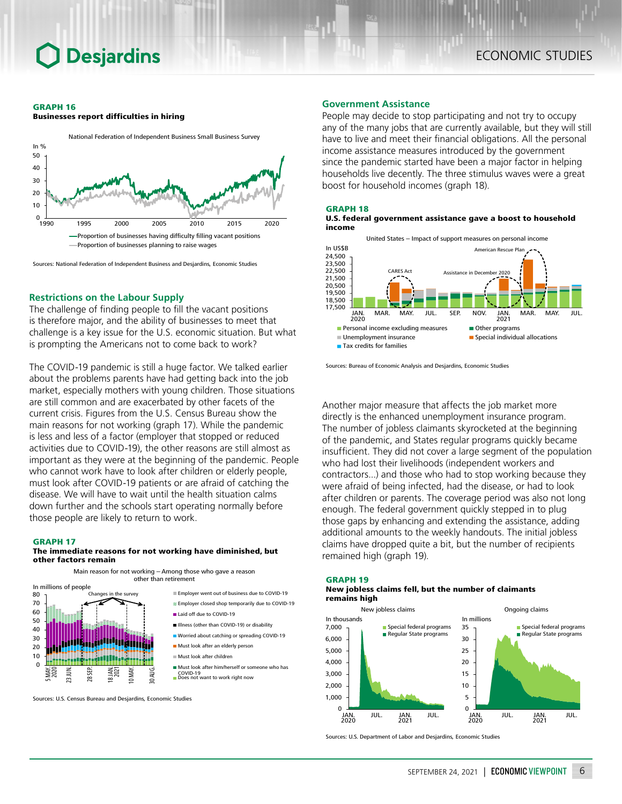#### GRAPH 16

Businesses report difficulties in hiring



Sources: National Federation of Independent Business and Desjardins, Economic Studies

# **Restrictions on the Labour Supply**

The challenge of finding people to fill the vacant positions is therefore major, and the ability of businesses to meet that challenge is a key issue for the U.S. economic situation. But what is prompting the Americans not to come back to work?

The COVID-19 pandemic is still a huge factor. We talked earlier about the problems parents have had getting back into the job market, especially mothers with young children. Those situations are still common and are exacerbated by other facets of the current crisis. Figures from the U.S. Census Bureau show the main reasons for not working (graph 17). While the pandemic is less and less of a factor (employer that stopped or reduced activities due to COVID‑19), the other reasons are still almost as important as they were at the beginning of the pandemic. People who cannot work have to look after children or elderly people, must look after COVID‑19 patients or are afraid of catching the disease. We will have to wait until the health situation calms down further and the schools start operating normally before those people are likely to return to work.

# GRAPH 17

### The immediate reasons for not working have diminished, but other factors remain



Sources: U.S. Census Bureau and Desjardins, Economic Studies

### **Government Assistance**

People may decide to stop participating and not try to occupy any of the many jobs that are currently available, but they will still have to live and meet their financial obligations. All the personal income assistance measures introduced by the government since the pandemic started have been a major factor in helping households live decently. The three stimulus waves were a great boost for household incomes (graph 18).

## GRAPH 18





Sources: Bureau of Economic Analysis and Desjardins, Economic Studies

Another major measure that affects the job market more directly is the enhanced unemployment insurance program. The number of jobless claimants skyrocketed at the beginning of the pandemic, and States regular programs quickly became insufficient. They did not cover a large segment of the population who had lost their livelihoods (independent workers and contractors...) and those who had to stop working because they were afraid of being infected, had the disease, or had to look after children or parents. The coverage period was also not long enough. The federal government quickly stepped in to plug those gaps by enhancing and extending the assistance, adding additional amounts to the weekly handouts. The initial jobless claims have dropped quite a bit, but the number of recipients remained high (graph 19).

#### GRAPH 19

#### New jobless claims fell, but the number of claimants remains high



Sources: U.S. Department of Labor and Desjardins, Economic Studies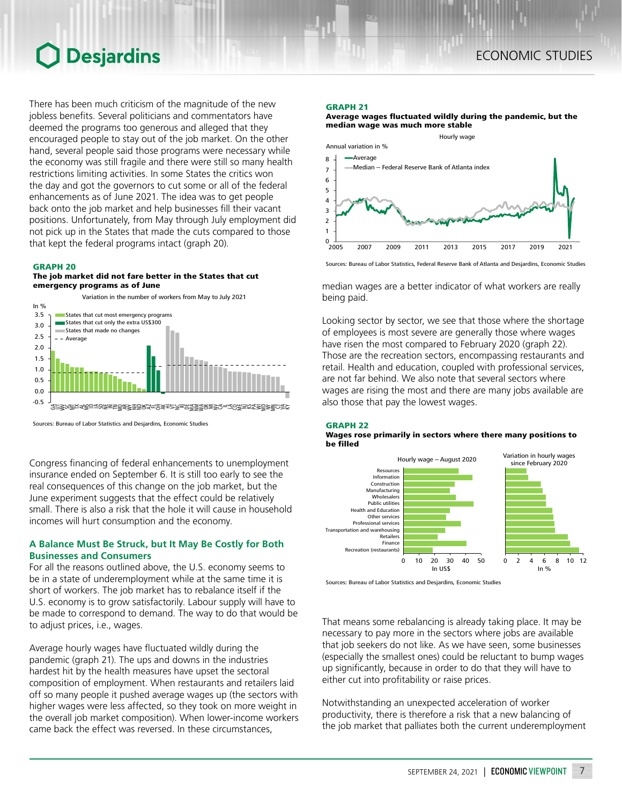There has been much criticism of the magnitude of the new jobless benefits. Several politicians and commentators have deemed the programs too generous and alleged that they encouraged people to stay out of the job market. On the other hand, several people said those programs were necessary while the economy was still fragile and there were still so many health restrictions limiting activities. In some States the critics won the day and got the governors to cut some or all of the federal enhancements as of June 2021. The idea was to get people back onto the job market and help businesses fill their vacant positions. Unfortunately, from May through July employment did not pick up in the States that made the cuts compared to those that kept the federal programs intact (graph 20).

# GRAPH 20

# The job market did not fare better in the States that cut emergency programs as of June



Sources: Bureau of Labor Statistics and Desjardins, Economic Studies

Congress financing of federal enhancements to unemployment insurance ended on September 6. It is still too early to see the real consequences of this change on the job market, but the June experiment suggests that the effect could be relatively small. There is also a risk that the hole it will cause in household incomes will hurt consumption and the economy.

# **A Balance Must Be Struck, but It May Be Costly for Both Businesses and Consumers**

For all the reasons outlined above, the U.S. economy seems to be in a state of underemployment while at the same time it is short of workers. The job market has to rebalance itself if the U.S. economy is to grow satisfactorily. Labour supply will have to be made to correspond to demand. The way to do that would be to adjust prices, i.e., wages.

Average hourly wages have fluctuated wildly during the pandemic (graph 21). The ups and downs in the industries hardest hit by the health measures have upset the sectoral composition of employment. When restaurants and retailers laid off so many people it pushed average wages up (the sectors with higher wages were less affected, so they took on more weight in the overall job market composition). When lower-income workers came back the effect was reversed. In these circumstances,

# GRAPH 21

Average wages fluctuated wildly during the pandemic, but the median wage was much more stable



Sources: Bureau of Labor Statistics, Federal Reserve Bank of Atlanta and Desjardins, Economic Studies

median wages are a better indicator of what workers are really being paid.

Looking sector by sector, we see that those where the shortage of employees is most severe are generally those where wages have risen the most compared to February 2020 (graph 22). Those are the recreation sectors, encompassing restaurants and retail. Health and education, coupled with professional services, are not far behind. We also note that several sectors where wages are rising the most and there are many jobs available are also those that pay the lowest wages.

## GRAPH 22

### Wages rose primarily in sectors where there many positions to be filled



Sources: Bureau of Labor Statistics and Desjardins, Economic Studies

That means some rebalancing is already taking place. It may be necessary to pay more in the sectors where jobs are available that job seekers do not like. As we have seen, some businesses (especially the smallest ones) could be reluctant to bump wages up significantly, because in order to do that they will have to either cut into profitability or raise prices.

Notwithstanding an unexpected acceleration of worker productivity, there is therefore a risk that a new balancing of the job market that palliates both the current underemployment